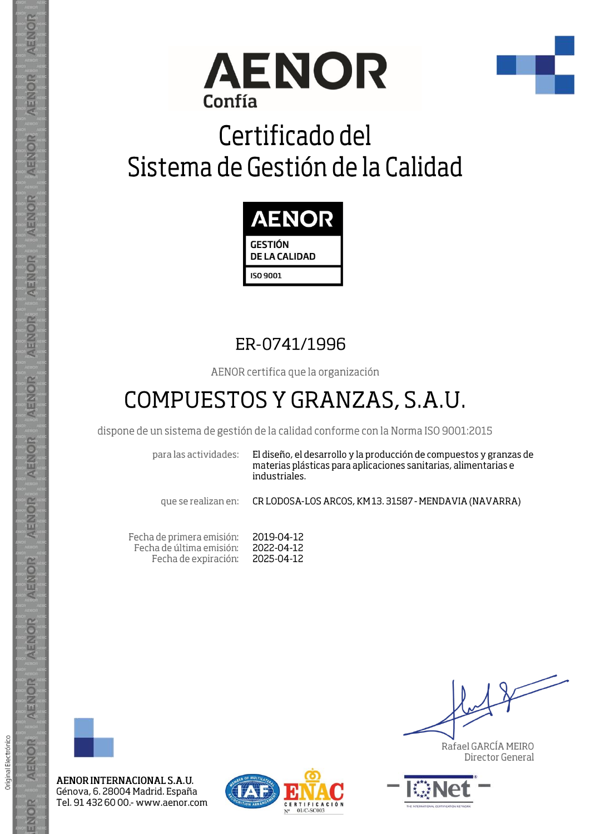



## Certificado del Sistema de Gestión de la Calidad



## ER-0741/1996

AENOR certifica que la organización

## COMPUESTOS Y GRANZAS, S.A.U.

dispone de un sistema de gestión de la calidad conforme con la Norma ISO 9001:2015

para las actividades:

El diseño, el desarrollo y la producción de compuestos y granzas de materias plásticas para aplicaciones sanitarias, alimentarias e industriales.

que se realizan en:

CR LODOSA-LOS ARCOS, KM13. 31587 - MENDAVIA (NAVARRA)

Fecha de primera emisión: 2019-04-12 Fecha de última emisión: 2022-04-12 Fecha de expiración: 2025-04-12



Original Electrónico

AENOR

ENOR

AENOR INTERNACIONAL S.A.U. Génova, 6. 28004 Madrid. España Tel. 91 432 60 00 - www.aenor.com



Rafael GARCÍA MEIRO Director General